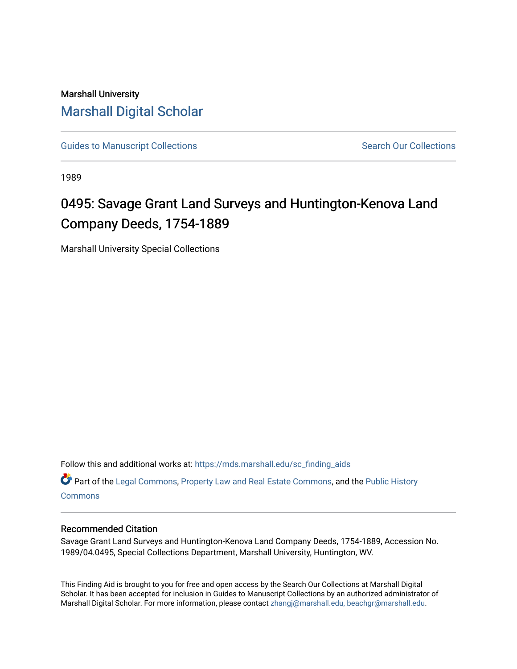## Marshall University [Marshall Digital Scholar](https://mds.marshall.edu/)

[Guides to Manuscript Collections](https://mds.marshall.edu/sc_finding_aids) **Search Our Collections** Search Our Collections

1989

# 0495: Savage Grant Land Surveys and Huntington-Kenova Land Company Deeds, 1754-1889

Marshall University Special Collections

Follow this and additional works at: [https://mds.marshall.edu/sc\\_finding\\_aids](https://mds.marshall.edu/sc_finding_aids?utm_source=mds.marshall.edu%2Fsc_finding_aids%2F394&utm_medium=PDF&utm_campaign=PDFCoverPages) 

Part of the [Legal Commons,](http://network.bepress.com/hgg/discipline/502?utm_source=mds.marshall.edu%2Fsc_finding_aids%2F394&utm_medium=PDF&utm_campaign=PDFCoverPages) [Property Law and Real Estate Commons](http://network.bepress.com/hgg/discipline/897?utm_source=mds.marshall.edu%2Fsc_finding_aids%2F394&utm_medium=PDF&utm_campaign=PDFCoverPages), and the [Public History](http://network.bepress.com/hgg/discipline/1292?utm_source=mds.marshall.edu%2Fsc_finding_aids%2F394&utm_medium=PDF&utm_campaign=PDFCoverPages)  **[Commons](http://network.bepress.com/hgg/discipline/1292?utm_source=mds.marshall.edu%2Fsc_finding_aids%2F394&utm_medium=PDF&utm_campaign=PDFCoverPages)** 

#### Recommended Citation

Savage Grant Land Surveys and Huntington-Kenova Land Company Deeds, 1754-1889, Accession No. 1989/04.0495, Special Collections Department, Marshall University, Huntington, WV.

This Finding Aid is brought to you for free and open access by the Search Our Collections at Marshall Digital Scholar. It has been accepted for inclusion in Guides to Manuscript Collections by an authorized administrator of Marshall Digital Scholar. For more information, please contact [zhangj@marshall.edu, beachgr@marshall.edu](mailto:zhangj@marshall.edu,%20beachgr@marshall.edu).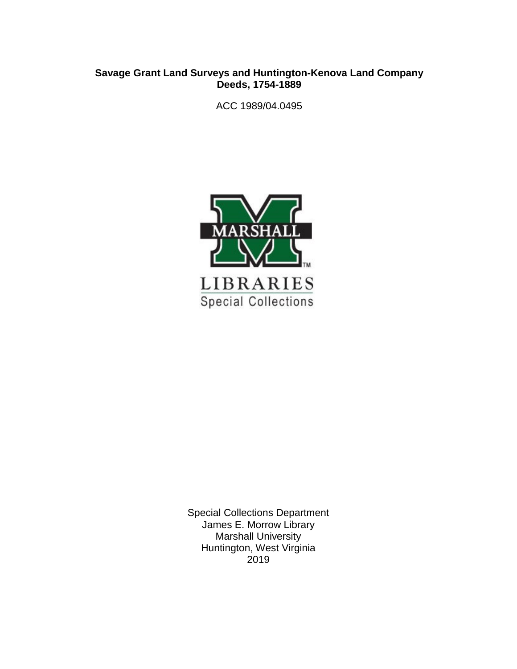#### **Savage Grant Land Surveys and Huntington-Kenova Land Company Deeds, 1754-1889**

ACC 1989/04.0495



Special Collections Department James E. Morrow Library Marshall University Huntington, West Virginia 2019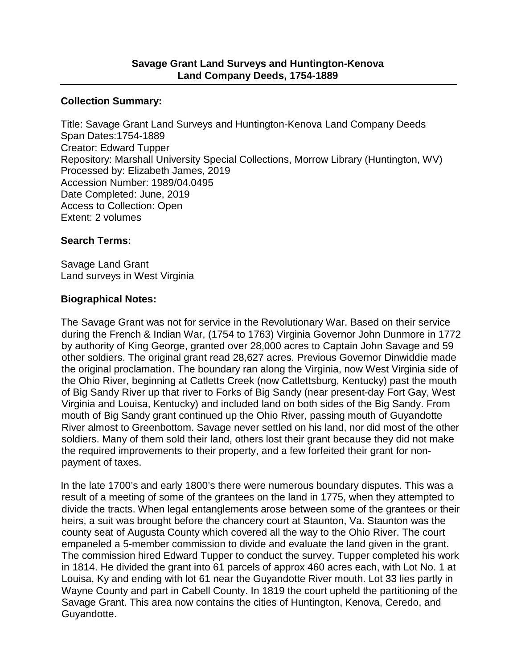#### **Collection Summary:**

Title: Savage Grant Land Surveys and Huntington-Kenova Land Company Deeds Span Dates:1754-1889 Creator: Edward Tupper Repository: Marshall University Special Collections, Morrow Library (Huntington, WV) Processed by: Elizabeth James, 2019 Accession Number: 1989/04.0495 Date Completed: June, 2019 Access to Collection: Open Extent: 2 volumes

### **Search Terms:**

Savage Land Grant Land surveys in West Virginia

#### **Biographical Notes:**

The Savage Grant was not for service in the Revolutionary War. Based on their service during the French & Indian War, (1754 to 1763) Virginia Governor John Dunmore in 1772 by authority of King George, granted over 28,000 acres to Captain John Savage and 59 other soldiers. The original grant read 28,627 acres. Previous Governor Dinwiddie made the original proclamation. The boundary ran along the Virginia, now West Virginia side of the Ohio River, beginning at Catletts Creek (now Catlettsburg, Kentucky) past the mouth of Big Sandy River up that river to Forks of Big Sandy (near present-day Fort Gay, West Virginia and Louisa, Kentucky) and included land on both sides of the Big Sandy. From mouth of Big Sandy grant continued up the Ohio River, passing mouth of Guyandotte River almost to Greenbottom. Savage never settled on his land, nor did most of the other soldiers. Many of them sold their land, others lost their grant because they did not make the required improvements to their property, and a few forfeited their grant for nonpayment of taxes.

In the late 1700's and early 1800's there were numerous boundary disputes. This was a result of a meeting of some of the grantees on the land in 1775, when they attempted to divide the tracts. When legal entanglements arose between some of the grantees or their heirs, a suit was brought before the chancery court at Staunton, Va. Staunton was the county seat of Augusta County which covered all the way to the Ohio River. The court empaneled a 5-member commission to divide and evaluate the land given in the grant. The commission hired Edward Tupper to conduct the survey. Tupper completed his work in 1814. He divided the grant into 61 parcels of approx 460 acres each, with Lot No. 1 at Louisa, Ky and ending with lot 61 near the Guyandotte River mouth. Lot 33 lies partly in Wayne County and part in Cabell County. In 1819 the court upheld the partitioning of the Savage Grant. This area now contains the cities of Huntington, Kenova, Ceredo, and Guyandotte.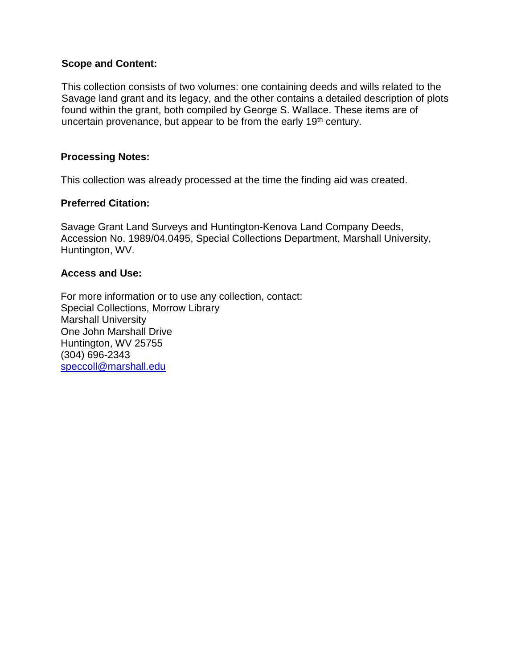#### **Scope and Content:**

This collection consists of two volumes: one containing deeds and wills related to the Savage land grant and its legacy, and the other contains a detailed description of plots found within the grant, both compiled by George S. Wallace. These items are of uncertain provenance, but appear to be from the early  $19<sup>th</sup>$  century.

#### **Processing Notes:**

This collection was already processed at the time the finding aid was created.

#### **Preferred Citation:**

Savage Grant Land Surveys and Huntington-Kenova Land Company Deeds, Accession No. 1989/04.0495, Special Collections Department, Marshall University, Huntington, WV.

#### **Access and Use:**

For more information or to use any collection, contact: Special Collections, Morrow Library Marshall University One John Marshall Drive Huntington, WV 25755 (304) 696-2343 [speccoll@marshall.edu](mailto:speccoll@marshall.edu)